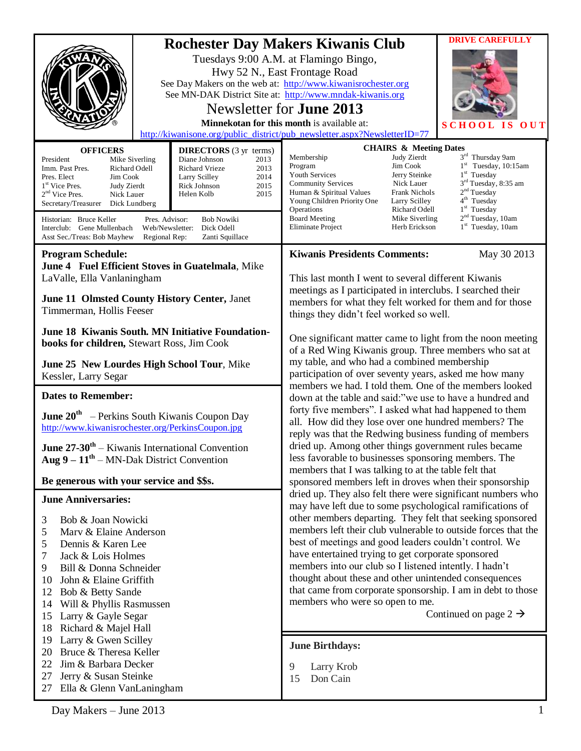| <b>OFFICERS</b><br>President<br>Mike Siverling<br>Richard Odell<br>Imm. Past Pres.<br>Pres. Elect<br>Jim Cook                                                                                                                                                                                                                                                                                                                                                                                                                                                         | <b>DIRECTORS</b> (3 yr terms)<br>Diane Johnson<br>2013<br><b>Richard Vrieze</b><br>2013<br>2014<br>Larry Scilley | <b>DRIVE CAREFULLY</b><br><b>Rochester Day Makers Kiwanis Club</b><br>Tuesdays 9:00 A.M. at Flamingo Bingo,<br>Hwy 52 N., East Frontage Road<br>See Day Makers on the web at: http://www.kiwanisrochester.org<br>See MN-DAK District Site at: http://www.mndak-kiwanis.org<br>Newsletter for <b>June 2013</b><br>Minnekotan for this month is available at:<br>0 <sub>U</sub><br><b>SCHC</b><br>http://kiwanisone.org/public_district/pub_newsletter.aspx?NewsletterID=77<br><b>CHAIRS &amp; Meeting Dates</b><br>3rd Thursday 9am<br>Membership<br>Judy Zierdt<br>Jim Cook<br>$1st$ Tuesday, 10:15am<br>Program<br>$1st$ Tuesday<br>Youth Services<br>Jerry Steinke                                                                                                                                                                                                                                                                                                                                                                                                                                                                                                                                                                                                                                                                                                                                                                                                                                                                                                                                                                                                                   |  |
|-----------------------------------------------------------------------------------------------------------------------------------------------------------------------------------------------------------------------------------------------------------------------------------------------------------------------------------------------------------------------------------------------------------------------------------------------------------------------------------------------------------------------------------------------------------------------|------------------------------------------------------------------------------------------------------------------|----------------------------------------------------------------------------------------------------------------------------------------------------------------------------------------------------------------------------------------------------------------------------------------------------------------------------------------------------------------------------------------------------------------------------------------------------------------------------------------------------------------------------------------------------------------------------------------------------------------------------------------------------------------------------------------------------------------------------------------------------------------------------------------------------------------------------------------------------------------------------------------------------------------------------------------------------------------------------------------------------------------------------------------------------------------------------------------------------------------------------------------------------------------------------------------------------------------------------------------------------------------------------------------------------------------------------------------------------------------------------------------------------------------------------------------------------------------------------------------------------------------------------------------------------------------------------------------------------------------------------------------------------------------------------------------|--|
| 1 <sup>st</sup> Vice Pres.<br>Judy Zierdt<br>$2nd$ Vice Pres.<br>Nick Lauer<br>Secretary/Treasurer<br>Dick Lundberg<br>Historian: Bruce Keller<br>Pres. Advisor:<br>Web/Newsletter:<br>Interclub: Gene Mullenbach<br>Asst Sec./Treas: Bob Mayhew<br>Regional Rep:                                                                                                                                                                                                                                                                                                     | 2015<br>Rick Johnson<br>2015<br>Helen Kolb<br><b>Bob Nowiki</b><br>Dick Odell<br>Zanti Squillace                 | $3rd$ Tuesday, 8:35 am<br>Nick Lauer<br><b>Community Services</b><br>2 <sup>nd</sup> Tuesday<br>Human & Spiritual Values<br>Frank Nichols<br>4 <sup>th</sup> Tuesday<br>Young Children Priority One<br>Larry Scilley<br>$1st$ Tuesday<br>Operations<br>Richard Odell<br>2 <sup>nd</sup> Tuesday, 10am<br><b>Board Meeting</b><br>Mike Siverling<br>$1st$ Tuesday, 10am<br>Eliminate Project<br>Herb Erickson                                                                                                                                                                                                                                                                                                                                                                                                                                                                                                                                                                                                                                                                                                                                                                                                                                                                                                                                                                                                                                                                                                                                                                                                                                                                           |  |
| <b>Program Schedule:</b><br>June 4 Fuel Efficient Stoves in Guatelmala, Mike<br>LaValle, Ella Vanlaningham<br>June 11 Olmsted County History Center, Janet<br>Timmerman, Hollis Feeser<br><b>June 18 Kiwanis South. MN Initiative Foundation-</b><br>books for children, Stewart Ross, Jim Cook<br>June 25 New Lourdes High School Tour, Mike<br>Kessler, Larry Segar                                                                                                                                                                                                 |                                                                                                                  | <b>Kiwanis Presidents Comments:</b><br>May 30 2013<br>This last month I went to several different Kiwanis<br>meetings as I participated in interclubs. I searched their<br>members for what they felt worked for them and for those<br>things they didn't feel worked so well.<br>One significant matter came to light from the noon meeting<br>of a Red Wing Kiwanis group. Three members who sat at<br>my table, and who had a combined membership<br>participation of over seventy years, asked me how many<br>members we had. I told them. One of the members looked<br>down at the table and said:"we use to have a hundred and<br>forty five members". I asked what had happened to them<br>all. How did they lose over one hundred members? The<br>reply was that the Redwing business funding of members<br>dried up. Among other things government rules became<br>less favorable to businesses sponsoring members. The<br>members that I was talking to at the table felt that<br>sponsored members left in droves when their sponsorship<br>dried up. They also felt there were significant numbers who<br>may have left due to some psychological ramifications of<br>other members departing. They felt that seeking sponsored<br>members left their club vulnerable to outside forces that the<br>best of meetings and good leaders couldn't control. We<br>have entertained trying to get corporate sponsored<br>members into our club so I listened intently. I hadn't<br>thought about these and other unintended consequences<br>that came from corporate sponsorship. I am in debt to those<br>members who were so open to me.<br>Continued on page $2 \rightarrow$ |  |
| <b>Dates to Remember:</b><br><b>June 20<sup>th</sup></b> – Perkins South Kiwanis Coupon Day<br>http://www.kiwanisrochester.org/PerkinsCoupon.jpg<br><b>June 27-30<sup>th</sup></b> – Kiwanis International Convention<br>Aug $9 - 11^{th}$ – MN-Dak District Convention                                                                                                                                                                                                                                                                                               |                                                                                                                  |                                                                                                                                                                                                                                                                                                                                                                                                                                                                                                                                                                                                                                                                                                                                                                                                                                                                                                                                                                                                                                                                                                                                                                                                                                                                                                                                                                                                                                                                                                                                                                                                                                                                                        |  |
| Be generous with your service and \$\$s.<br><b>June Anniversaries:</b><br>3<br>Bob & Joan Nowicki<br>5<br>Marv & Elaine Anderson<br>5<br>Dennis & Karen Lee<br>Jack & Lois Holmes<br>7<br>9<br>Bill & Donna Schneider<br>John & Elaine Griffith<br>10<br>Bob & Betty Sande<br>12<br>Will & Phyllis Rasmussen<br>14<br>Larry & Gayle Segar<br>15<br>Richard & Majel Hall<br>18<br>Larry & Gwen Scilley<br>19<br>Bruce & Theresa Keller<br>20<br>Jim & Barbara Decker<br>22<br>Jerry & Susan Steinke<br>27<br>Ella & Glenn VanLaningham<br>27<br>Day Makers - June 2013 |                                                                                                                  |                                                                                                                                                                                                                                                                                                                                                                                                                                                                                                                                                                                                                                                                                                                                                                                                                                                                                                                                                                                                                                                                                                                                                                                                                                                                                                                                                                                                                                                                                                                                                                                                                                                                                        |  |
|                                                                                                                                                                                                                                                                                                                                                                                                                                                                                                                                                                       |                                                                                                                  | <b>June Birthdays:</b><br>Larry Krob<br>9<br>Don Cain<br>15<br>1                                                                                                                                                                                                                                                                                                                                                                                                                                                                                                                                                                                                                                                                                                                                                                                                                                                                                                                                                                                                                                                                                                                                                                                                                                                                                                                                                                                                                                                                                                                                                                                                                       |  |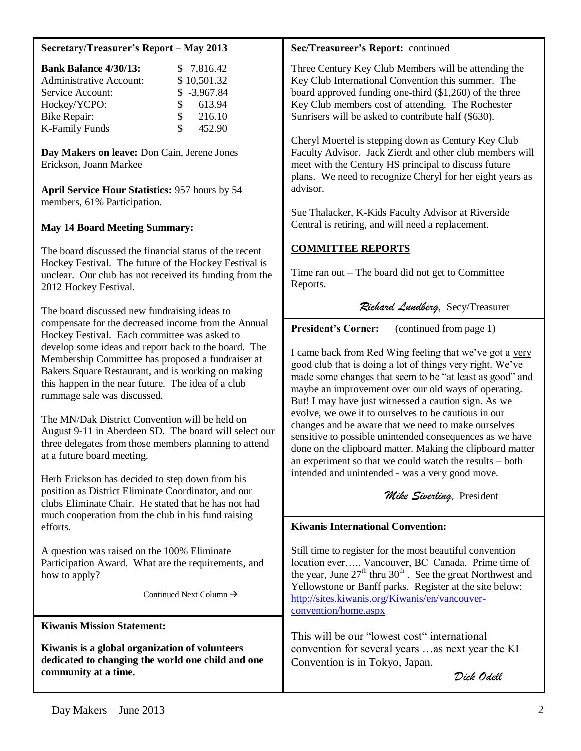#### **Secretary/Treasurer's Report – May 2013**

| <b>Bank Balance 4/30/13:</b>   |               | \$7,816.42    |
|--------------------------------|---------------|---------------|
| <b>Administrative Account:</b> |               | \$10,501.32   |
| Service Account:               |               | $$ -3,967.84$ |
| Hockey/YCPO:                   | $\mathcal{S}$ | 613.94        |
| <b>Bike Repair:</b>            | $\mathcal{S}$ | 216.10        |
| <b>K-Family Funds</b>          | \$.           | 452.90        |

**Day Makers on leave:** Don Cain, Jerene Jones Erickson, Joann Markee

**April Service Hour Statistics:** 957 hours by 54 members, 61% Participation.

## **May 14 Board Meeting Summary:**

The board discussed the financial status of the recent Hockey Festival. The future of the Hockey Festival is unclear. Our club has not received its funding from the 2012 Hockey Festival.

The board discussed new fundraising ideas to compensate for the decreased income from the Annual Hockey Festival. Each committee was asked to develop some ideas and report back to the board. The Membership Committee has proposed a fundraiser at Bakers Square Restaurant, and is working on making this happen in the near future. The idea of a club rummage sale was discussed.

The MN/Dak District Convention will be held on August 9-11 in Aberdeen SD. The board will select our three delegates from those members planning to attend at a future board meeting.

Herb Erickson has decided to step down from his position as District Eliminate Coordinator, and our clubs Eliminate Chair. He stated that he has not had much cooperation from the club in his fund raising efforts.

A question was raised on the 100% Eliminate Participation Award. What are the requirements, and how to apply?

Continued Next Column  $\rightarrow$ 

**Kiwanis Mission Statement:**

**Kiwanis is a global organization of volunteers dedicated to changing the world one child and one community at a time.**

## **Sec/Treasureer's Report:** continued

Three Century Key Club Members will be attending the Key Club International Convention this summer. The board approved funding one-third (\$1,260) of the three Key Club members cost of attending. The Rochester Sunrisers will be asked to contribute half (\$630).

Cheryl Moertel is stepping down as Century Key Club Faculty Advisor. Jack Zierdt and other club members will meet with the Century HS principal to discuss future plans. We need to recognize Cheryl for her eight years as advisor.

Sue Thalacker, K-Kids Faculty Advisor at Riverside Central is retiring, and will need a replacement.

# **COMMITTEE REPORTS**

Time ran out – The board did not get to Committee Reports.

# *Richard Lundberg*, Secy/Treasurer

**President's Corner:** (continued from page 1)

I came back from Red Wing feeling that we've got a very good club that is doing a lot of things very right. We've made some changes that seem to be "at least as good" and maybe an improvement over our old ways of operating. But! I may have just witnessed a caution sign. As we evolve, we owe it to ourselves to be cautious in our changes and be aware that we need to make ourselves sensitive to possible unintended consequences as we have done on the clipboard matter. Making the clipboard matter an experiment so that we could watch the results – both intended and unintended - was a very good move.

## *Mike Siverling,* President

## **Kiwanis International Convention:**

Still time to register for the most beautiful convention location ever….. Vancouver, BC Canada. Prime time of the year, June  $27<sup>th</sup>$  thru  $30<sup>th</sup>$ . See the great Northwest and Yellowstone or Banff parks. Register at the site below: [http://sites.kiwanis.org/Kiwanis/en/vancouver](http://sites.kiwanis.org/Kiwanis/en/vancouver-convention/home.aspx)[convention/home.aspx](http://sites.kiwanis.org/Kiwanis/en/vancouver-convention/home.aspx)

This will be our "lowest cost" international convention for several years …as next year the KI Convention is in Tokyo, Japan.

 *Dick Odell*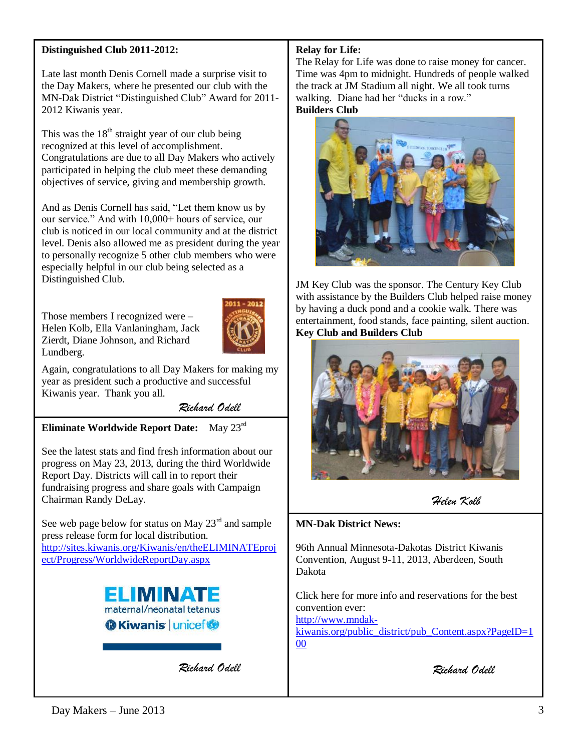## **Distinguished Club 2011-2012:**

Late last month Denis Cornell made a surprise visit to the Day Makers, where he presented our club with the MN-Dak District "Distinguished Club" Award for 2011- 2012 Kiwanis year.

This was the  $18<sup>th</sup>$  straight year of our club being recognized at this level of accomplishment. Congratulations are due to all Day Makers who actively participated in helping the club meet these demanding objectives of service, giving and membership growth.

And as Denis Cornell has said, "Let them know us by our service." And with 10,000+ hours of service, our club is noticed in our local community and at the district level. Denis also allowed me as president during the year to personally recognize 5 other club members who were especially helpful in our club being selected as a Distinguished Club.

Those members I recognized were – Helen Kolb, Ella Vanlaningham, Jack Zierdt, Diane Johnson, and Richard Lundberg.



Again, congratulations to all Day Makers for making my year as president such a productive and successful Kiwanis year. Thank you all.

*Richard Odell*

**Eliminate Worldwide Report Date:** May 23rd

See the latest stats and find fresh information about our progress on May 23, 2013, during the third Worldwide Report Day. Districts will call in to report their fundraising progress and share goals with Campaign Chairman Randy DeLay.

See web page below for status on May  $23<sup>rd</sup>$  and sample press release form for local distribution. [http://sites.kiwanis.org/Kiwanis/en/theELIMINATEproj](http://sites.kiwanis.org/Kiwanis/en/theELIMINATEproject/Progress/WorldwideReportDay.aspx) [ect/Progress/WorldwideReportDay.aspx](http://sites.kiwanis.org/Kiwanis/en/theELIMINATEproject/Progress/WorldwideReportDay.aspx)



*Richard Odell*

## **Relay for Life:**

The Relay for Life was done to raise money for cancer. Time was 4pm to midnight. Hundreds of people walked the track at JM Stadium all night. We all took turns walking. Diane had her "ducks in a row." **Builders Club**

JM Key Club was the sponsor. The Century Key Club with assistance by the Builders Club helped raise money by having a duck pond and a cookie walk. There was entertainment, food stands, face painting, silent auction. **Key Club and Builders Club**



*Helen Kolb*

## **MN-Dak District News:**

96th Annual Minnesota-Dakotas District Kiwanis Convention, August 9-11, 2013, Aberdeen, South Dakota

Click here for more info and reservations for the best convention ever: [http://www.mndak](http://www.mndak-kiwanis.org/public_district/pub_Content.aspx?PageID=100)[kiwanis.org/public\\_district/pub\\_Content.aspx?PageID=1](http://www.mndak-kiwanis.org/public_district/pub_Content.aspx?PageID=100)

[00](http://www.mndak-kiwanis.org/public_district/pub_Content.aspx?PageID=100)

*Richard Odell*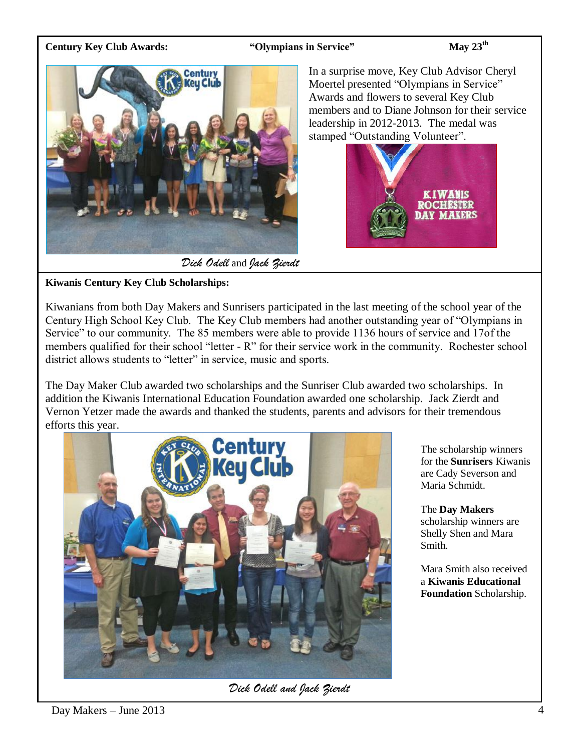## **Century Key Club Awards: "Olympians in Service" May 23th**



*Dick Odell* and *Jack Zierdt*

In a surprise move, Key Club Advisor Cheryl Moertel presented "Olympians in Service" Awards and flowers to several Key Club members and to Diane Johnson for their service leadership in 2012-2013. The medal was stamped "Outstanding Volunteer".



## **Kiwanis Century Key Club Scholarships:**

Kiwanians from both Day Makers and Sunrisers participated in the last meeting of the school year of the Century High School Key Club. The Key Club members had another outstanding year of "Olympians in Service" to our community. The 85 members were able to provide 1136 hours of service and 17of the members qualified for their school "letter - R" for their service work in the community. Rochester school district allows students to "letter" in service, music and sports.

The Day Maker Club awarded two scholarships and the Sunriser Club awarded two scholarships. In addition the Kiwanis International Education Foundation awarded one scholarship. Jack Zierdt and Vernon Yetzer made the awards and thanked the students, parents and advisors for their tremendous efforts this year.



*Dick Odell and Jack Zierdt*

The scholarship winners for the **Sunrisers** Kiwanis are Cady Severson and Maria Schmidt.

The **Day Makers** scholarship winners are Shelly Shen and Mara Smith.

Mara Smith also received a **Kiwanis Educational Foundation** Scholarship.